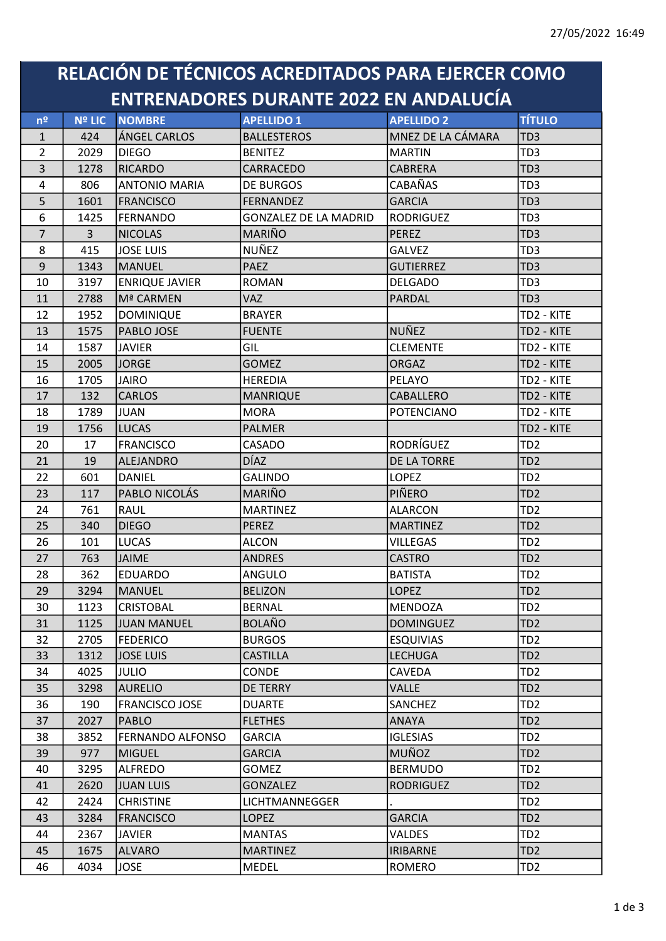## RELACIÓN DE TÉCNICOS ACREDITADOS PARA EJERCER COMO ENTRENADORES DURANTE 2022 EN ANDALUCÍA

| n <sup>2</sup> | <b>Nº LIC</b>  | <b>NOMBRE</b>           | <b>APELLIDO 1</b>            | <b>APELLIDO 2</b> | <b>TÍTULO</b>   |
|----------------|----------------|-------------------------|------------------------------|-------------------|-----------------|
| $\mathbf{1}$   | 424            | ÁNGEL CARLOS            | <b>BALLESTEROS</b>           | MNEZ DE LA CÁMARA | TD <sub>3</sub> |
| $\overline{2}$ | 2029           | <b>DIEGO</b>            | <b>BENITEZ</b>               | <b>MARTIN</b>     | TD <sub>3</sub> |
| $\overline{3}$ | 1278           | RICARDO                 | CARRACEDO                    | <b>CABRERA</b>    | TD <sub>3</sub> |
| 4              | 806            | <b>ANTONIO MARIA</b>    | <b>DE BURGOS</b>             | <b>CABAÑAS</b>    | TD <sub>3</sub> |
| 5              | 1601           | <b>FRANCISCO</b>        | <b>FERNANDEZ</b>             | <b>GARCIA</b>     | TD <sub>3</sub> |
| 6              | 1425           | FERNANDO                | <b>GONZALEZ DE LA MADRID</b> | <b>RODRIGUEZ</b>  | TD <sub>3</sub> |
| $\overline{7}$ | 3 <sup>1</sup> | <b>NICOLAS</b>          | <b>MARIÑO</b>                | <b>PEREZ</b>      | TD <sub>3</sub> |
| 8              | 415            | <b>JOSE LUIS</b>        | NUÑEZ                        | <b>GALVEZ</b>     | TD <sub>3</sub> |
| 9              | 1343           | MANUEL                  | <b>PAEZ</b>                  | <b>GUTIERREZ</b>  | TD <sub>3</sub> |
| 10             | 3197           | <b>ENRIQUE JAVIER</b>   | ROMAN                        | <b>DELGADO</b>    | TD <sub>3</sub> |
| 11             | 2788           | Mª CARMEN               | <b>VAZ</b>                   | PARDAL            | TD <sub>3</sub> |
| 12             | 1952           | <b>DOMINIQUE</b>        | <b>BRAYER</b>                |                   | TD2 - KITE      |
| 13             | 1575           | PABLO JOSE              | <b>FUENTE</b>                | NUÑEZ             | TD2 - KITE      |
| 14             | 1587           | <b>JAVIER</b>           | GIL                          | <b>CLEMENTE</b>   | TD2 - KITE      |
| 15             | 2005           | <b>JORGE</b>            | <b>GOMEZ</b>                 | <b>ORGAZ</b>      | TD2 - KITE      |
| 16             | 1705           | JAIRO                   | <b>HEREDIA</b>               | PELAYO            | TD2 - KITE      |
| 17             | 132            | <b>CARLOS</b>           | <b>MANRIQUE</b>              | CABALLERO         | TD2 - KITE      |
| 18             | 1789           | <b>JUAN</b>             | <b>MORA</b>                  | <b>POTENCIANO</b> | TD2 - KITE      |
| 19             | 1756           | <b>LUCAS</b>            | <b>PALMER</b>                |                   | TD2 - KITE      |
| 20             | 17             | <b>FRANCISCO</b>        | CASADO                       | <b>RODRÍGUEZ</b>  | TD <sub>2</sub> |
| 21             | 19             | ALEJANDRO               | <b>DÍAZ</b>                  | DE LA TORRE       | TD <sub>2</sub> |
| 22             | 601            | DANIEL                  | <b>GALINDO</b>               | <b>LOPEZ</b>      | TD <sub>2</sub> |
| 23             | 117            | PABLO NICOLÁS           | MARIÑO                       | PIÑERO            | TD <sub>2</sub> |
| 24             | 761            | RAUL                    | <b>MARTINEZ</b>              | <b>ALARCON</b>    | TD <sub>2</sub> |
| 25             | 340            | <b>DIEGO</b>            | <b>PEREZ</b>                 | <b>MARTINEZ</b>   | TD <sub>2</sub> |
| 26             | 101            | LUCAS                   | <b>ALCON</b>                 | <b>VILLEGAS</b>   | TD <sub>2</sub> |
| 27             | 763            | <b>JAIME</b>            | <b>ANDRES</b>                | <b>CASTRO</b>     | TD <sub>2</sub> |
| 28             | 362            | <b>EDUARDO</b>          | ANGULO                       | <b>BATISTA</b>    | TD <sub>2</sub> |
| 29             | 3294           | MANUEL                  | <b>BELIZON</b>               | <b>LOPEZ</b>      | TD <sub>2</sub> |
| 30             | 1123           | <b>CRISTOBAL</b>        | <b>BERNAL</b>                | MENDOZA           | TD <sub>2</sub> |
| 31             | 1125           | JUAN MANUEL             | <b>BOLAÑO</b>                | <b>DOMINGUEZ</b>  | TD <sub>2</sub> |
| 32             | 2705           | <b>FEDERICO</b>         | <b>BURGOS</b>                | <b>ESQUIVIAS</b>  | TD <sub>2</sub> |
| 33             | 1312           | <b>JOSE LUIS</b>        | <b>CASTILLA</b>              | <b>LECHUGA</b>    | TD <sub>2</sub> |
| 34             | 4025           | <b>JULIO</b>            | <b>CONDE</b>                 | <b>CAVEDA</b>     | TD <sub>2</sub> |
| 35             | 3298           | <b>AURELIO</b>          | <b>DE TERRY</b>              | <b>VALLE</b>      | TD <sub>2</sub> |
| 36             | 190            | <b>FRANCISCO JOSE</b>   | <b>DUARTE</b>                | SANCHEZ           | TD <sub>2</sub> |
| 37             | 2027           | PABLO                   | <b>FLETHES</b>               | <b>ANAYA</b>      | TD <sub>2</sub> |
| 38             | 3852           | <b>FERNANDO ALFONSO</b> | <b>GARCIA</b>                | <b>IGLESIAS</b>   | TD <sub>2</sub> |
| 39             | 977            | MIGUEL                  | <b>GARCIA</b>                | <b>MUÑOZ</b>      | TD <sub>2</sub> |
| 40             | 3295           | <b>ALFREDO</b>          | GOMEZ                        | <b>BERMUDO</b>    | TD <sub>2</sub> |
| 41             | 2620           | JUAN LUIS               | <b>GONZALEZ</b>              | <b>RODRIGUEZ</b>  | TD <sub>2</sub> |
| 42             | 2424           | <b>CHRISTINE</b>        | LICHTMANNEGGER               |                   | TD <sub>2</sub> |
| 43             | 3284           | FRANCISCO               | <b>LOPEZ</b>                 | <b>GARCIA</b>     | TD <sub>2</sub> |
| 44             | 2367           | <b>JAVIER</b>           | <b>MANTAS</b>                | <b>VALDES</b>     | TD <sub>2</sub> |
| 45             | 1675           | <b>ALVARO</b>           | <b>MARTINEZ</b>              | <b>IRIBARNE</b>   | TD <sub>2</sub> |
| 46             | 4034           | <b>JOSE</b>             | MEDEL                        | ROMERO            | TD <sub>2</sub> |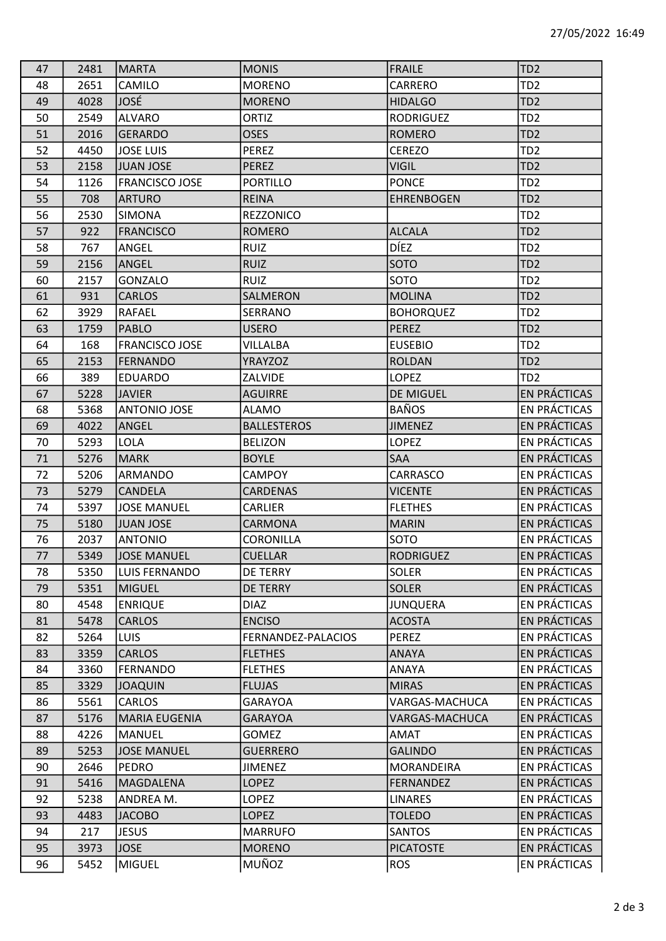| 47 | 2481 | <b>MARTA</b>          | <b>MONIS</b>       | <b>FRAILE</b>     | TD <sub>2</sub>     |
|----|------|-----------------------|--------------------|-------------------|---------------------|
| 48 | 2651 | CAMILO                | <b>MORENO</b>      | CARRERO           | TD <sub>2</sub>     |
| 49 | 4028 | JOSÉ                  | <b>MORENO</b>      | <b>HIDALGO</b>    | TD <sub>2</sub>     |
| 50 | 2549 | <b>ALVARO</b>         | <b>ORTIZ</b>       | <b>RODRIGUEZ</b>  | TD <sub>2</sub>     |
| 51 | 2016 | GERARDO               | <b>OSES</b>        | <b>ROMERO</b>     | TD <sub>2</sub>     |
| 52 | 4450 | <b>JOSE LUIS</b>      | <b>PEREZ</b>       | <b>CEREZO</b>     | TD <sub>2</sub>     |
| 53 | 2158 | JUAN JOSE             | <b>PEREZ</b>       | <b>VIGIL</b>      | TD <sub>2</sub>     |
| 54 | 1126 | <b>FRANCISCO JOSE</b> | <b>PORTILLO</b>    | <b>PONCE</b>      | TD <sub>2</sub>     |
| 55 | 708  | <b>ARTURO</b>         | <b>REINA</b>       | <b>EHRENBOGEN</b> | TD <sub>2</sub>     |
| 56 | 2530 | <b>SIMONA</b>         | <b>REZZONICO</b>   |                   | TD <sub>2</sub>     |
| 57 | 922  | <b>FRANCISCO</b>      | <b>ROMERO</b>      | <b>ALCALA</b>     | TD <sub>2</sub>     |
| 58 | 767  | ANGEL                 | <b>RUIZ</b>        | <b>DÍEZ</b>       | TD <sub>2</sub>     |
| 59 | 2156 | ANGEL                 | <b>RUIZ</b>        | <b>SOTO</b>       | TD <sub>2</sub>     |
| 60 | 2157 | <b>GONZALO</b>        | <b>RUIZ</b>        | <b>SOTO</b>       | TD <sub>2</sub>     |
| 61 | 931  | <b>CARLOS</b>         | SALMERON           | <b>MOLINA</b>     | TD <sub>2</sub>     |
| 62 | 3929 | RAFAEL                | SERRANO            | <b>BOHORQUEZ</b>  | TD <sub>2</sub>     |
| 63 | 1759 | PABLO                 | <b>USERO</b>       | PEREZ             | TD <sub>2</sub>     |
| 64 | 168  | <b>FRANCISCO JOSE</b> | VILLALBA           | <b>EUSEBIO</b>    | TD <sub>2</sub>     |
| 65 | 2153 | FERNANDO              | <b>YRAYZOZ</b>     | <b>ROLDAN</b>     | TD <sub>2</sub>     |
| 66 | 389  | <b>EDUARDO</b>        | <b>ZALVIDE</b>     | <b>LOPEZ</b>      | TD <sub>2</sub>     |
| 67 | 5228 | <b>JAVIER</b>         | <b>AGUIRRE</b>     | <b>DE MIGUEL</b>  | EN PRÁCTICAS        |
| 68 | 5368 | <b>ANTONIO JOSE</b>   | <b>ALAMO</b>       | <b>BAÑOS</b>      | EN PRÁCTICAS        |
| 69 | 4022 | ANGEL                 | <b>BALLESTEROS</b> | <b>JIMENEZ</b>    | <b>EN PRÁCTICAS</b> |
| 70 | 5293 | <b>LOLA</b>           | <b>BELIZON</b>     | <b>LOPEZ</b>      | EN PRÁCTICAS        |
| 71 | 5276 | <b>MARK</b>           | <b>BOYLE</b>       | <b>SAA</b>        | EN PRÁCTICAS        |
| 72 | 5206 | ARMANDO               | <b>CAMPOY</b>      | CARRASCO          | EN PRÁCTICAS        |
| 73 | 5279 | <b>CANDELA</b>        | <b>CARDENAS</b>    | <b>VICENTE</b>    | EN PRÁCTICAS        |
| 74 | 5397 | <b>JOSE MANUEL</b>    | CARLIER            | <b>FLETHES</b>    | EN PRÁCTICAS        |
| 75 | 5180 | JUAN JOSE             | CARMONA            | <b>MARIN</b>      | EN PRÁCTICAS        |
| 76 | 2037 | <b>ANTONIO</b>        | CORONILLA          | <b>SOTO</b>       | EN PRÁCTICAS        |
| 77 | 5349 | <b>JOSE MANUEL</b>    | <b>CUELLAR</b>     | <b>RODRIGUEZ</b>  | <b>EN PRÁCTICAS</b> |
| 78 | 5350 | LUIS FERNANDO         | <b>DE TERRY</b>    | <b>SOLER</b>      | EN PRÁCTICAS        |
| 79 | 5351 | MIGUEL                | <b>DE TERRY</b>    | <b>SOLER</b>      | EN PRÁCTICAS        |
| 80 | 4548 | <b>ENRIQUE</b>        | <b>DIAZ</b>        | <b>JUNQUERA</b>   | EN PRÁCTICAS        |
| 81 | 5478 | <b>CARLOS</b>         | <b>ENCISO</b>      | <b>ACOSTA</b>     | EN PRÁCTICAS        |
| 82 | 5264 | LUIS                  | FERNANDEZ-PALACIOS | PEREZ             | EN PRÁCTICAS        |
| 83 | 3359 | <b>CARLOS</b>         | <b>FLETHES</b>     | <b>ANAYA</b>      | EN PRÁCTICAS        |
| 84 | 3360 | FERNANDO              | <b>FLETHES</b>     | <b>ANAYA</b>      | EN PRÁCTICAS        |
| 85 | 3329 | <b>JOAQUIN</b>        | <b>FLUJAS</b>      | <b>MIRAS</b>      | EN PRÁCTICAS        |
| 86 | 5561 | <b>CARLOS</b>         | <b>GARAYOA</b>     | VARGAS-MACHUCA    | EN PRÁCTICAS        |
| 87 | 5176 | <b>MARIA EUGENIA</b>  | <b>GARAYOA</b>     | VARGAS-MACHUCA    | EN PRÁCTICAS        |
| 88 | 4226 | MANUEL                | GOMEZ              | AMAT              | EN PRÁCTICAS        |
| 89 | 5253 | <b>JOSE MANUEL</b>    | <b>GUERRERO</b>    | <b>GALINDO</b>    | EN PRÁCTICAS        |
| 90 | 2646 | PEDRO                 | <b>JIMENEZ</b>     | MORANDEIRA        | EN PRÁCTICAS        |
| 91 | 5416 | <b>MAGDALENA</b>      | <b>LOPEZ</b>       | <b>FERNANDEZ</b>  | EN PRÁCTICAS        |
| 92 | 5238 | ANDREA M.             | <b>LOPEZ</b>       | <b>LINARES</b>    | EN PRÁCTICAS        |
| 93 | 4483 | <b>JACOBO</b>         | <b>LOPEZ</b>       | <b>TOLEDO</b>     | <b>EN PRÁCTICAS</b> |
| 94 | 217  | <b>JESUS</b>          | <b>MARRUFO</b>     | <b>SANTOS</b>     | EN PRÁCTICAS        |
| 95 | 3973 | <b>JOSE</b>           | <b>MORENO</b>      | <b>PICATOSTE</b>  | EN PRÁCTICAS        |
| 96 | 5452 | MIGUEL                | MUÑOZ              | <b>ROS</b>        | EN PRÁCTICAS        |
|    |      |                       |                    |                   |                     |